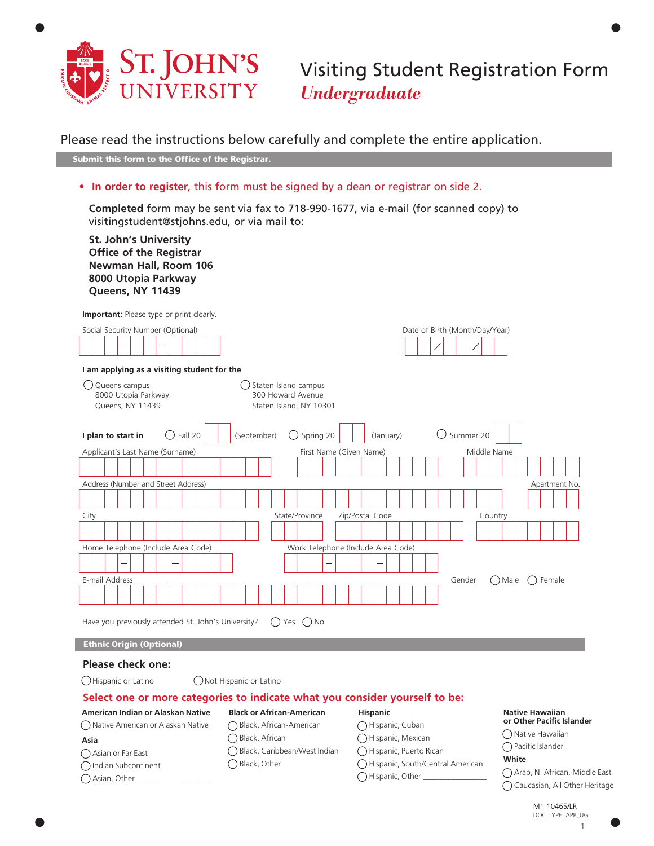

Visiting Student Registration Form *Undergraduate*

Date of Birth (Month/Day/Year)

# Please read the instructions below carefully and complete the entire application.

Submit this form to the Office of the Registrar.

• **In order to register**, this form must be signed by a dean or registrar on side 2.

**Completed** form may be sent via fax to 718-990-1677, via e-mail (for scanned copy) to visitingstudent@stjohns.edu, or via mail to:

**St. John's University Office of the Registrar Newman Hall, Room 106 8000 Utopia Parkway Queens, NY 11439**

**Important:** Please type or print clearly.

| Social Security Number (Optional) |  |  |  |  |  |  |  |  |  |
|-----------------------------------|--|--|--|--|--|--|--|--|--|
|                                   |  |  |  |  |  |  |  |  |  |

| I am applying as a visiting student for the                        |                                                                      |
|--------------------------------------------------------------------|----------------------------------------------------------------------|
| $\bigcup$ Queens campus<br>8000 Utopia Parkway<br>Queens, NY 11439 | Staten Island campus<br>300 Howard Avenue<br>Staten Island, NY 10301 |
| I plan to start in<br>Fall 20                                      | Summer 20<br>(September)<br>Spring 20<br>(January)                   |
| Applicant's Last Name (Surname)                                    | First Name (Given Name)<br>Middle Name                               |
|                                                                    |                                                                      |
| Address (Number and Street Address)                                | Apartment No.                                                        |
|                                                                    |                                                                      |
| City                                                               | State/Province<br>Zip/Postal Code<br>Country                         |
|                                                                    |                                                                      |
| Home Telephone (Include Area Code)                                 | Work Telephone (Include Area Code)                                   |
|                                                                    |                                                                      |
| E-mail Address                                                     | Gender<br>() Male<br>Female                                          |
|                                                                    |                                                                      |
| Have you previously attended St. John's University?                | Yes () No<br>$($ )                                                   |
| <b>Ethnic Origin (Optional)</b>                                    |                                                                      |
| Plaase chack one:                                                  |                                                                      |

### **Please check one:**

 Asian or Far East Indian Subcontinent  $\bigcap$  Asian, Other

**Asia** 

◯ Hispanic or Latino ◯ Not Hispanic or Latino

## **Select one or more categories to indicate what you consider yourself to be:**

Black, Caribbean/West Indian

Black, African

◯ Black, Other

#### **American Indian or Alaskan Native**  Native American or Alaskan Native **Black or African-American** Black, African-American

### **Hispanic** ◯ Hispanic, Cuban

- Hispanic, Mexican
	- Hispanic, Puerto Rican
	- Hispanic, South/Central American
	- $\bigcirc$  Hispanic, Other \_

### **Native Hawaiian or Other Pacific Islander**

◯ Native Hawaiian

Pacific Islander

## **White**

 Arab, N. African, Middle East Caucasian, All Other Heritage

DOC TYPE: APP\_UG
1 1 DOC TYPE: APP\_UG M1-10465/LR

•